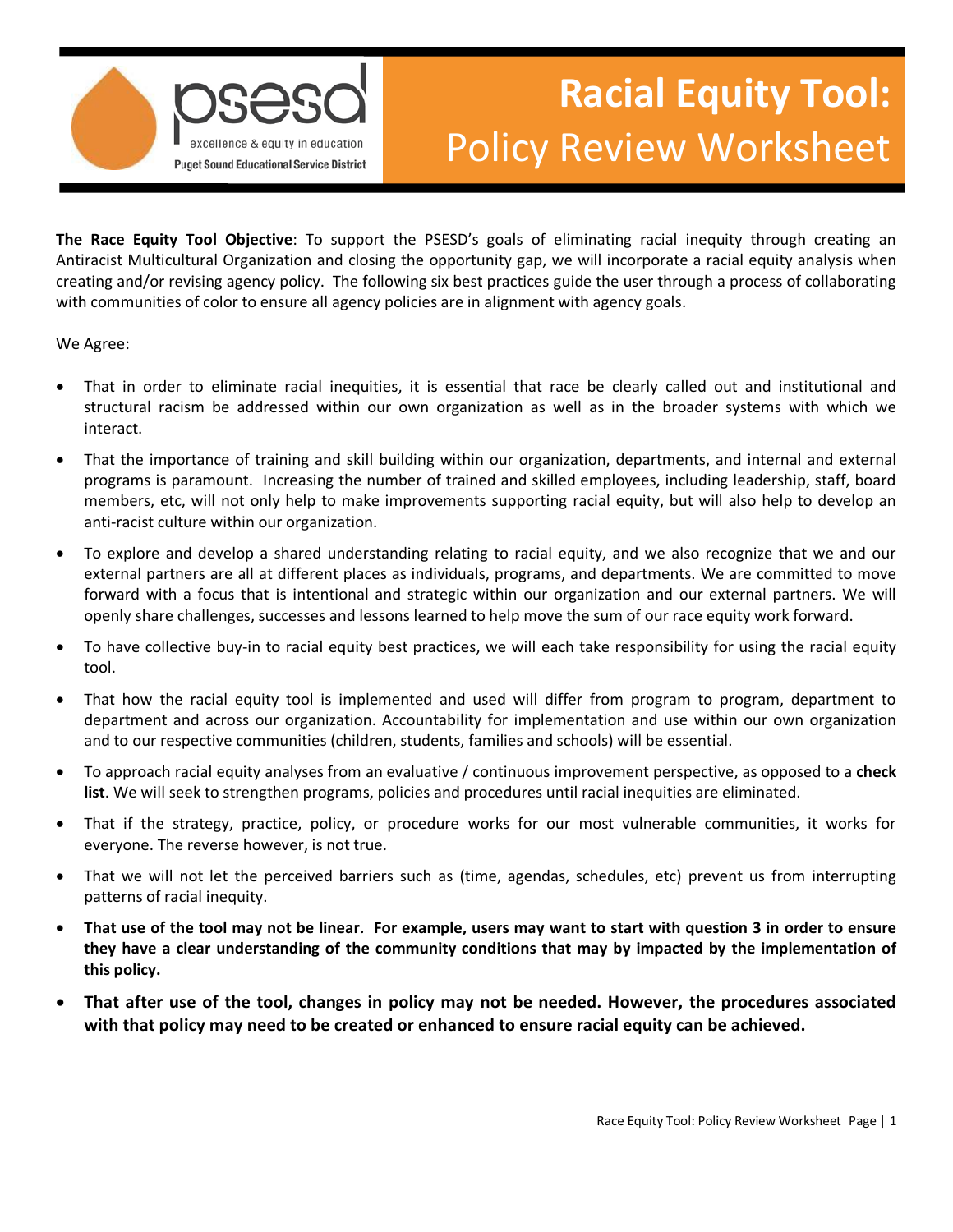

## **Racial Equity Tool:**  Policy Review Worksheet

 **The Race Equity Tool Objective**: To support the PSESD's goals of eliminating racial inequity through creating an Antiracist Multicultural Organization and closing the opportunity gap, we will incorporate a racial equity analysis when creating and/or revising agency policy. The following six best practices guide the user through a process of collaborating with communities of color to ensure all agency policies are in alignment with agency goals.

We Agree:

- interact. • That in order to eliminate racial inequities, it is essential that race be clearly called out and institutional and structural racism be addressed within our own organization as well as in the broader systems with which we
- That the importance of training and skill building within our organization, departments, and internal and external programs is paramount. Increasing the number of trained and skilled employees, including leadership, staff, board members, etc, will not only help to make improvements supporting racial equity, but will also help to develop an anti-racist culture within our organization.
- forward with a focus that is intentional and strategic within our organization and our external partners. We will • To explore and develop a shared understanding relating to racial equity, and we also recognize that we and our external partners are all at different places as individuals, programs, and departments. We are committed to move openly share challenges, successes and lessons learned to help move the sum of our race equity work forward.
- To have collective buy-in to racial equity best practices, we will each take responsibility for using the racial equity tool.
- That how the racial equity tool is implemented and used will differ from program to program, department to department and across our organization. Accountability for implementation and use within our own organization and to our respective communities (children, students, families and schools) will be essential.
- To approach racial equity analyses from an evaluative / continuous improvement perspective, as opposed to a **check list**. We will seek to strengthen programs, policies and procedures until racial inequities are eliminated.
- That if the strategy, practice, policy, or procedure works for our most vulnerable communities, it works for everyone. The reverse however, is not true.
- • That we will not let the perceived barriers such as (time, agendas, schedules, etc) prevent us from interrupting patterns of racial inequity.
- **That use of the tool may not be linear. For example, users may want to start with question 3 in order to ensure they have a clear understanding of the community conditions that may by impacted by the implementation of this policy.**
- **That after use of the tool, changes in policy may not be needed. However, the procedures associated with that policy may need to be created or enhanced to ensure racial equity can be achieved.**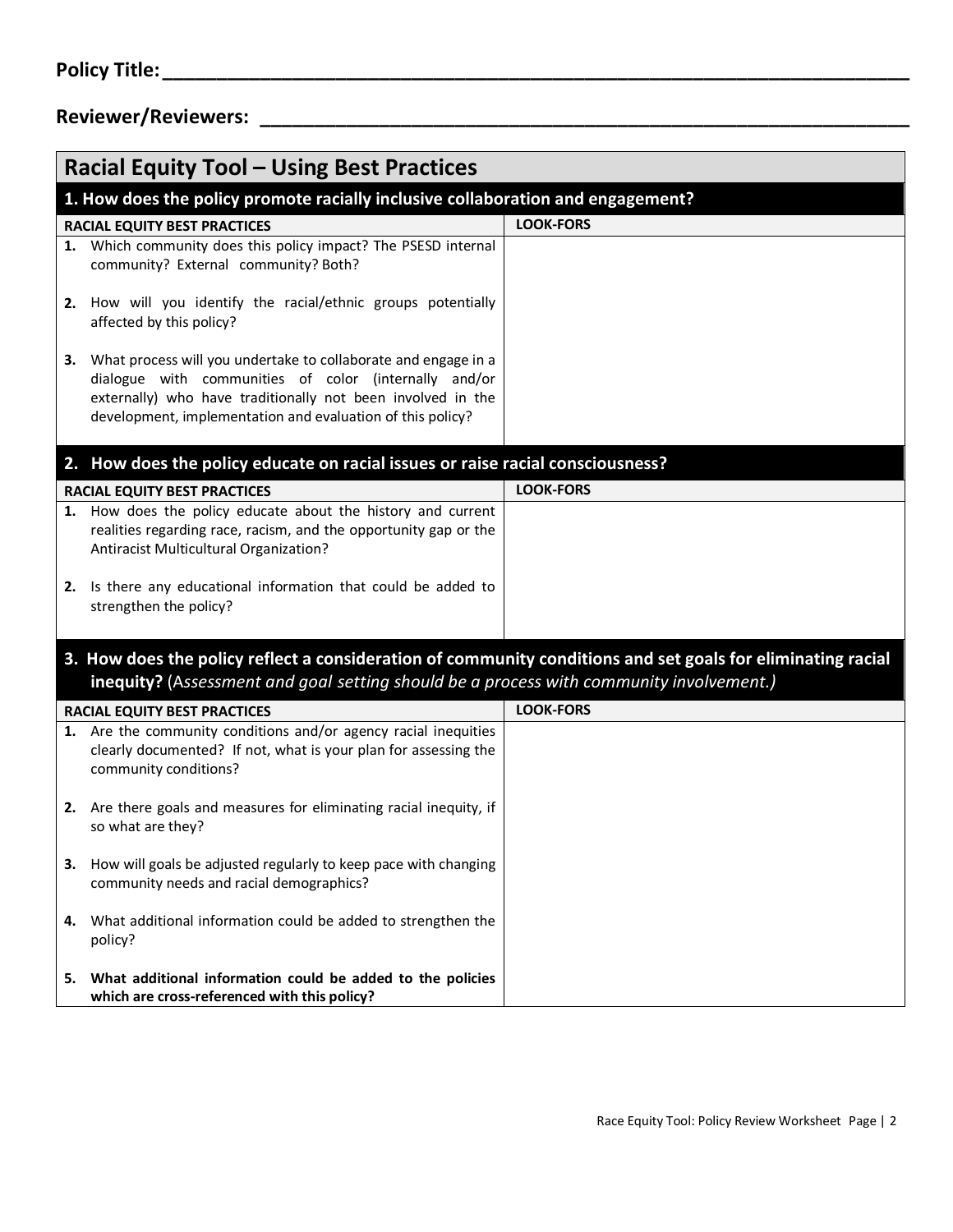## **Policy Title: \_\_\_\_\_\_\_\_\_\_\_\_\_\_\_\_\_\_\_\_\_\_\_\_\_\_\_\_\_\_\_\_\_\_\_\_\_\_\_\_\_\_\_\_\_\_\_\_\_\_\_\_\_\_\_\_\_\_\_\_\_\_\_\_\_\_\_\_\_ Reviewer/Reviewers: \_\_\_\_\_\_\_\_\_\_\_\_\_\_\_\_\_\_\_\_\_\_\_\_\_\_\_\_\_\_\_\_\_\_\_\_\_\_\_\_\_\_\_\_\_\_\_\_\_\_\_\_\_\_\_\_\_\_\_\_ Racial Equity Tool – Using Best Practices**

| <b>Racial Equity Tool - Using Best Practices</b>                                                                                                                                                       |                                                                                                                                                                                                                                                         |                  |
|--------------------------------------------------------------------------------------------------------------------------------------------------------------------------------------------------------|---------------------------------------------------------------------------------------------------------------------------------------------------------------------------------------------------------------------------------------------------------|------------------|
| 1. How does the policy promote racially inclusive collaboration and engagement?                                                                                                                        |                                                                                                                                                                                                                                                         |                  |
| RACIAL EQUITY BEST PRACTICES                                                                                                                                                                           |                                                                                                                                                                                                                                                         | <b>LOOK-FORS</b> |
|                                                                                                                                                                                                        | 1. Which community does this policy impact? The PSESD internal<br>community? External community? Both?                                                                                                                                                  |                  |
|                                                                                                                                                                                                        | 2. How will you identify the racial/ethnic groups potentially<br>affected by this policy?                                                                                                                                                               |                  |
|                                                                                                                                                                                                        | 3. What process will you undertake to collaborate and engage in a<br>dialogue with communities of color (internally and/or<br>externally) who have traditionally not been involved in the<br>development, implementation and evaluation of this policy? |                  |
| 2. How does the policy educate on racial issues or raise racial consciousness?                                                                                                                         |                                                                                                                                                                                                                                                         |                  |
|                                                                                                                                                                                                        | <b>RACIAL EQUITY BEST PRACTICES</b>                                                                                                                                                                                                                     | <b>LOOK-FORS</b> |
|                                                                                                                                                                                                        | 1. How does the policy educate about the history and current<br>realities regarding race, racism, and the opportunity gap or the<br>Antiracist Multicultural Organization?                                                                              |                  |
| 2.                                                                                                                                                                                                     | Is there any educational information that could be added to<br>strengthen the policy?                                                                                                                                                                   |                  |
| 3. How does the policy reflect a consideration of community conditions and set goals for eliminating racial<br>inequity? (Assessment and goal setting should be a process with community involvement.) |                                                                                                                                                                                                                                                         |                  |
|                                                                                                                                                                                                        | RACIAL EQUITY BEST PRACTICES                                                                                                                                                                                                                            | <b>LOOK-FORS</b> |
|                                                                                                                                                                                                        | 1. Are the community conditions and/or agency racial inequities<br>clearly documented? If not, what is your plan for assessing the<br>community conditions?                                                                                             |                  |
| 2.                                                                                                                                                                                                     | Are there goals and measures for eliminating racial inequity, if<br>so what are they?                                                                                                                                                                   |                  |
|                                                                                                                                                                                                        | 3. How will goals be adjusted regularly to keep pace with changing<br>community needs and racial demographics?                                                                                                                                          |                  |
| 4.                                                                                                                                                                                                     | What additional information could be added to strengthen the<br>policy?                                                                                                                                                                                 |                  |
| 5.                                                                                                                                                                                                     | What additional information could be added to the policies<br>which are cross-referenced with this policy?                                                                                                                                              |                  |